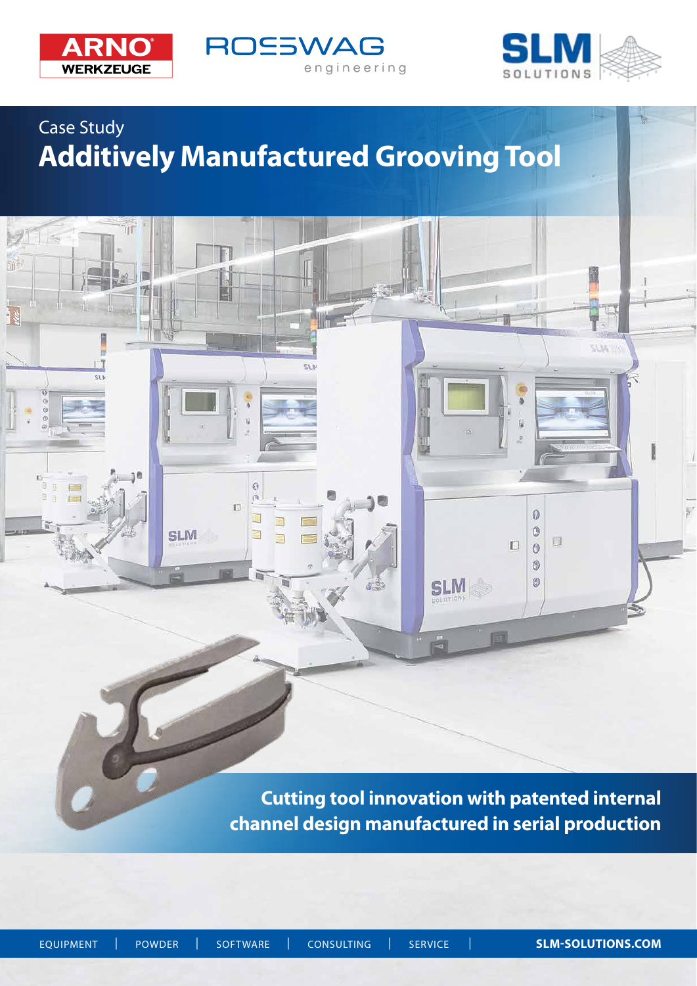

ïïï

 $\overline{\cdots}$ 

 $91 =$ 

ă

帝





 $5132$ 

 $\overline{u}$ 

 $\bullet$ 

 $\circledcirc$ 

 $\Box$  $\ddot{\circ}$ 0  $\circledcirc$   $\Box$ 

# Case Study **Additively Manufactured Grooving Tool**

IJ

 $\circ$  $\tilde{a}$  $\overline{\mathbb{D}}$ 

Ü

E

 $\Rightarrow$ 

**SLM** 

**Cutting tool innovation with patented internal channel design manufactured in serial production**

**SLM** 

5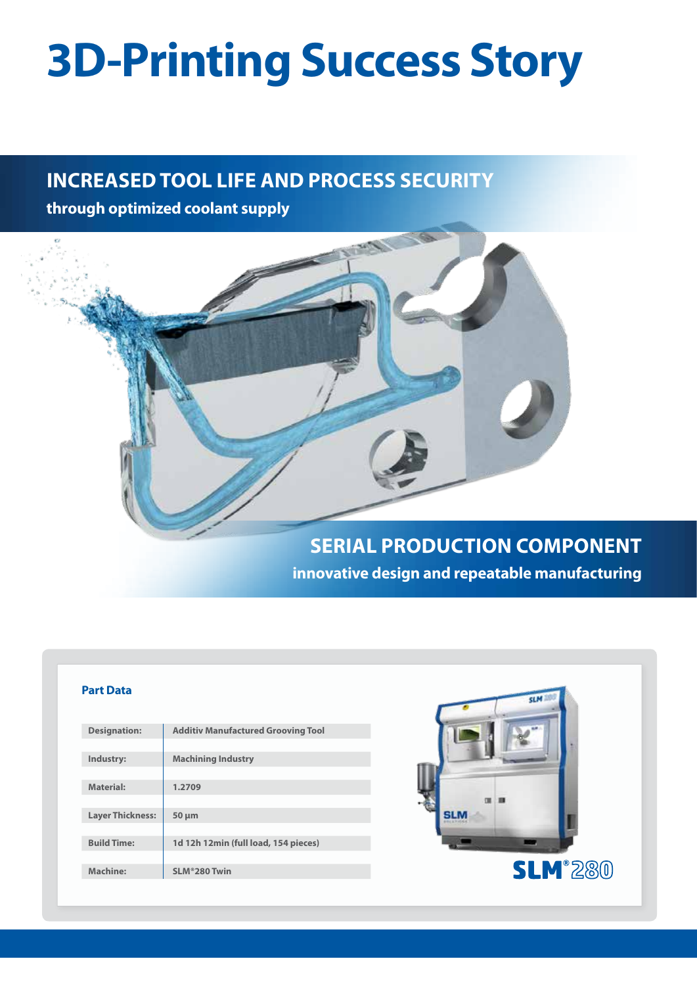# **3D-Printing Success Story**

# **INCREASED TOOL LIFE AND PROCESS SECURITY**

**through optimized coolant supply**



#### **Part Data**

| <b>Designation:</b>     | <b>Additiv Manufactured Grooving Tool</b> |
|-------------------------|-------------------------------------------|
|                         |                                           |
| Industry:               | <b>Machining Industry</b>                 |
|                         |                                           |
| <b>Material:</b>        | 1.2709                                    |
|                         |                                           |
| <b>Layer Thickness:</b> | $50 \mu m$                                |
|                         |                                           |
| <b>Build Time:</b>      | 1d 12h 12min (full load, 154 pieces)      |
|                         |                                           |
| Machine:                | SLM®280 Twin                              |
|                         |                                           |

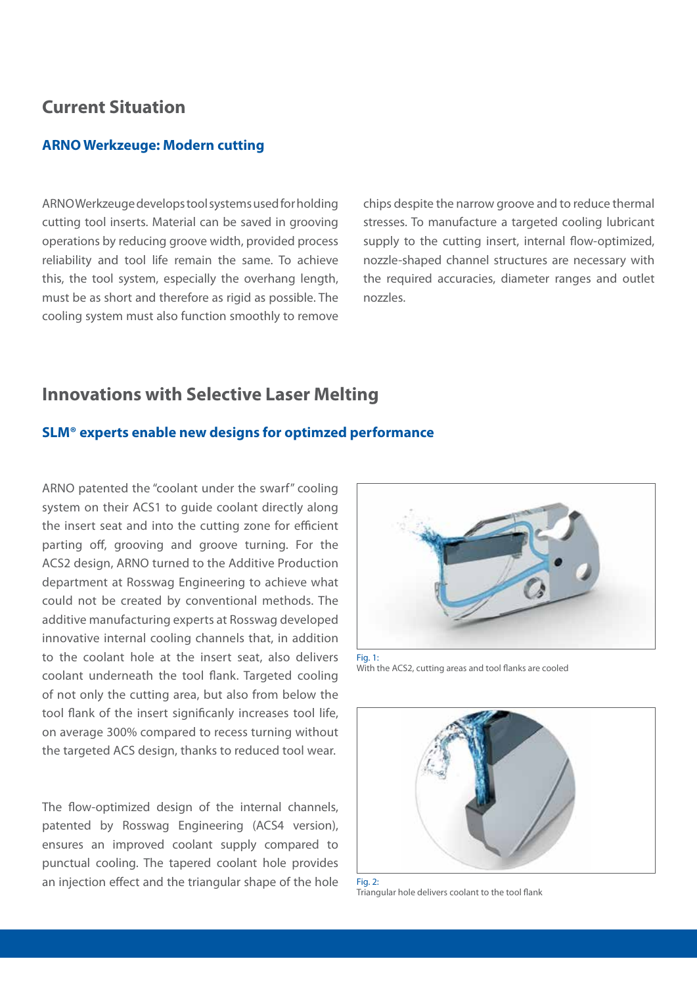## **Current Situation**

#### **ARNO Werkzeuge: Modern cutting**

ARNO Werkzeuge develops tool systems used for holding cutting tool inserts. Material can be saved in grooving operations by reducing groove width, provided process reliability and tool life remain the same. To achieve this, the tool system, especially the overhang length, must be as short and therefore as rigid as possible. The cooling system must also function smoothly to remove

chips despite the narrow groove and to reduce thermal stresses. To manufacture a targeted cooling lubricant supply to the cutting insert, internal flow-optimized, nozzle-shaped channel structures are necessary with the required accuracies, diameter ranges and outlet nozzles.

## **Innovations with Selective Laser Melting**

#### **SLM® experts enable new designs for optimzed performance**

ARNO patented the "coolant under the swarf" cooling system on their ACS1 to guide coolant directly along the insert seat and into the cutting zone for efficient parting off, grooving and groove turning. For the ACS2 design, ARNO turned to the Additive Production department at Rosswag Engineering to achieve what could not be created by conventional methods. The additive manufacturing experts at Rosswag developed innovative internal cooling channels that, in addition to the coolant hole at the insert seat, also delivers coolant underneath the tool flank. Targeted cooling of not only the cutting area, but also from below the tool flank of the insert significanly increases tool life, on average 300% compared to recess turning without the targeted ACS design, thanks to reduced tool wear.

The flow-optimized design of the internal channels, patented by Rosswag Engineering (ACS4 version), ensures an improved coolant supply compared to punctual cooling. The tapered coolant hole provides an injection effect and the triangular shape of the hole



With the ACS2, cutting areas and tool flanks are cooled



Fig.  $2^1$ Triangular hole delivers coolant to the tool flank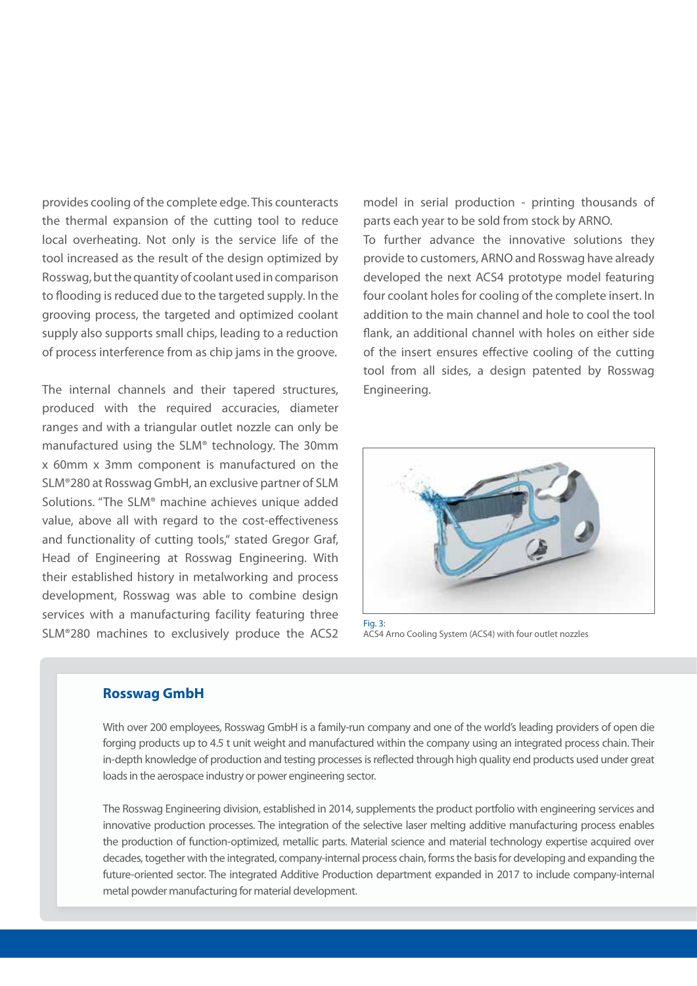provides cooling of the complete edge. This counteracts the thermal expansion of the cutting tool to reduce local overheating. Not only is the service life of the tool increased as the result of the design optimized by Rosswag, but the quantity of coolant used in comparison to flooding is reduced due to the targeted supply. In the grooving process, the targeted and optimized coolant supply also supports small chips, leading to a reduction of process interference from as chip jams in the groove.

The internal channels and their tapered structures, produced with the required accuracies, diameter ranges and with a triangular outlet nozzle can only be manufactured using the SLM® technology. The 30mm x 60mm x 3mm component is manufactured on the SLM®280 at Rosswag GmbH, an exclusive partner of SLM Solutions. "The SLM® machine achieves unique added value, above all with regard to the cost-effectiveness and functionality of cutting tools," stated Gregor Graf, Head of Engineering at Rosswag Engineering. With their established history in metalworking and process development, Rosswag was able to combine design services with a manufacturing facility featuring three SLM®280 machines to exclusively produce the ACS2 model in serial production - printing thousands of parts each year to be sold from stock by ARNO. To further advance the innovative solutions they provide to customers, ARNO and Rosswag have already developed the next ACS4 prototype model featuring four coolant holes for cooling of the complete insert. In addition to the main channel and hole to cool the tool flank, an additional channel with holes on either side of the insert ensures effective cooling of the cutting tool from all sides, a design patented by Rosswag Engineering.



ACS4 Arno Cooling System (ACS4) with four outlet nozzles

#### **Rosswag GmbH**

With over 200 employees, Rosswag GmbH is a family-run company and one of the world's leading providers of open die forging products up to 4.5 t unit weight and manufactured within the company using an integrated process chain. Their in-depth knowledge of production and testing processes is reflected through high quality end products used under great loads in the aerospace industry or power engineering sector.

The Rosswag Engineering division, established in 2014, supplements the product portfolio with engineering services and innovative production processes. The integration of the selective laser melting additive manufacturing process enables the production of function-optimized, metallic parts. Material science and material technology expertise acquired over decades, together with the integrated, company-internal process chain, forms the basis for developing and expanding the future-oriented sector. The integrated Additive Production department expanded in 2017 to include company-internal metal powder manufacturing for material development.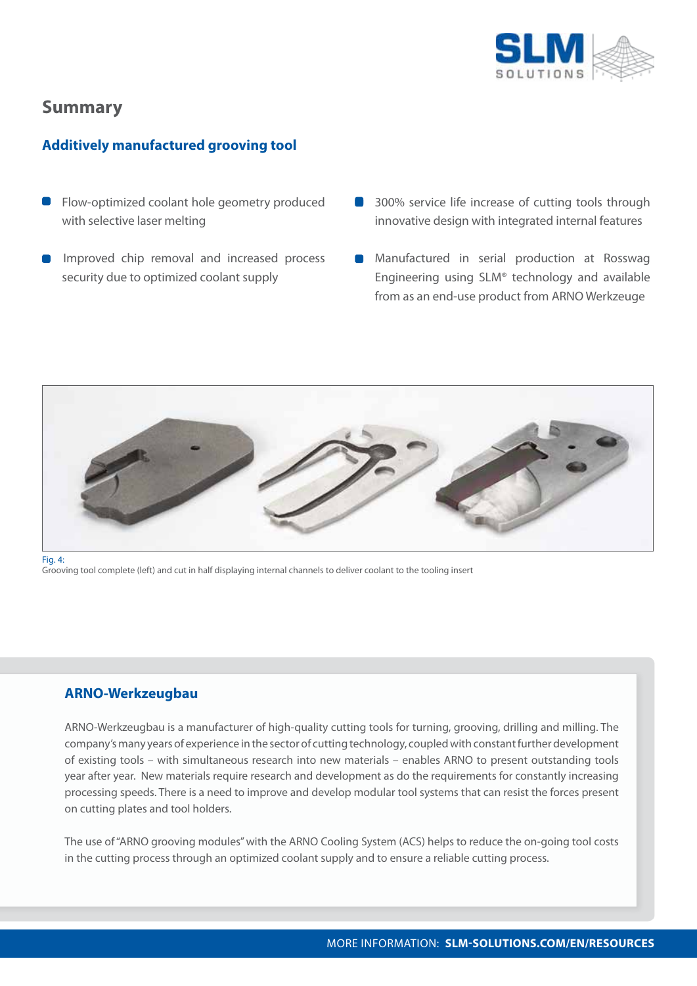

# **Summary**

### **Additively manufactured grooving tool**

- **Flow-optimized coolant hole geometry produced** with selective laser melting
- Improved chip removal and increased process security due to optimized coolant supply
- **300% service life increase of cutting tools through** innovative design with integrated internal features
- **Manufactured in serial production at Rosswag** Engineering using SLM® technology and available from as an end-use product from ARNO Werkzeuge



Fig. 4:

Grooving tool complete (left) and cut in half displaying internal channels to deliver coolant to the tooling insert

#### **ARNO-Werkzeugbau**

ARNO-Werkzeugbau is a manufacturer of high-quality cutting tools for turning, grooving, drilling and milling. The company's many years of experience in the sector of cutting technology, coupled with constant further development of existing tools – with simultaneous research into new materials – enables ARNO to present outstanding tools year after year. New materials require research and development as do the requirements for constantly increasing processing speeds. There is a need to improve and develop modular tool systems that can resist the forces present on cutting plates and tool holders.

The use of "ARNO grooving modules" with the ARNO Cooling System (ACS) helps to reduce the on-going tool costs in the cutting process through an optimized coolant supply and to ensure a reliable cutting process.